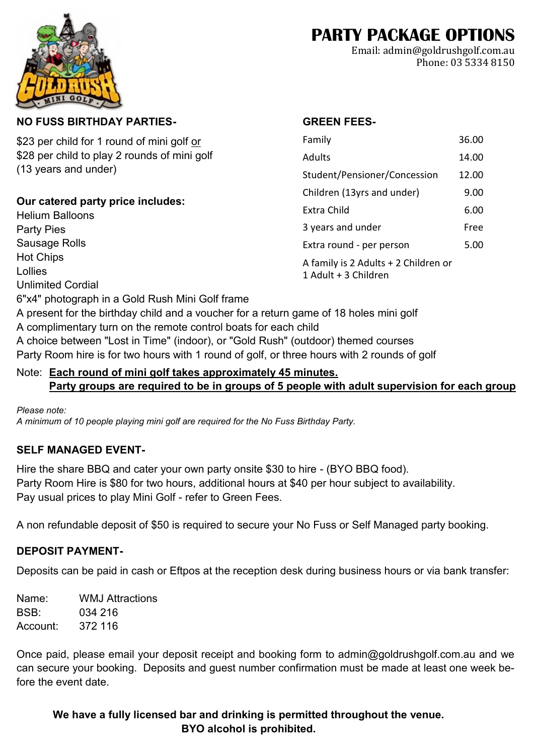# **PARTY PACKAGE OPTIONS**

Family 36.00 Adults 14.00 Student/Pensioner/Concession 12.00

Children (13yrs and under) 9.00 Extra Child 6.00

**GREEN FEES-**

Email: admin@goldrushgolf.com.au Phone: 03 5334 8150

#### **NO FUSS BIRTHDAY PARTIES-**

\$23 per child for 1 round of mini golf or \$28 per child to play 2 rounds of mini golf (13 years and under)

#### **Our catered party price includes:**

3 years and under Free Extra round - per person 5.00 A family is 2 Adults + 2 Children or 1 Adult + 3 Children Helium Balloons Party Pies Sausage Rolls Hot Chips Lollies Unlimited Cordial 6"x4" photograph in a Gold Rush Mini Golf frame A present for the birthday child and a voucher for a return game of 18 holes mini golf A complimentary turn on the remote control boats for each child A choice between "Lost in Time" (indoor), or "Gold Rush" (outdoor) themed courses Party Room hire is for two hours with 1 round of golf, or three hours with 2 rounds of golf

#### Note: **Each round of mini golf takes approximately 45 minutes. Party groups are required to be in groups of 5 people with adult supervision for each group**

*Please note: A minimum of 10 people playing mini golf are required for the No Fuss Birthday Party.*

### **SELF MANAGED EVENT-**

Hire the share BBQ and cater your own party onsite \$30 to hire - (BYO BBQ food). Party Room Hire is \$80 for two hours, additional hours at \$40 per hour subject to availability. Pay usual prices to play Mini Golf - refer to Green Fees.

A non refundable deposit of \$50 is required to secure your No Fuss or Self Managed party booking.

#### **DEPOSIT PAYMENT-**

Deposits can be paid in cash or Eftpos at the reception desk during business hours or via bank transfer:

Name: WMJ Attractions BSB: 034 216 Account: 372 116

Once paid, please email your deposit receipt and booking form to admin@goldrushgolf.com.au and we can secure your booking. Deposits and guest number confirmation must be made at least one week before the event date.

#### **We have a fully licensed bar and drinking is permitted throughout the venue. BYO alcohol is prohibited.**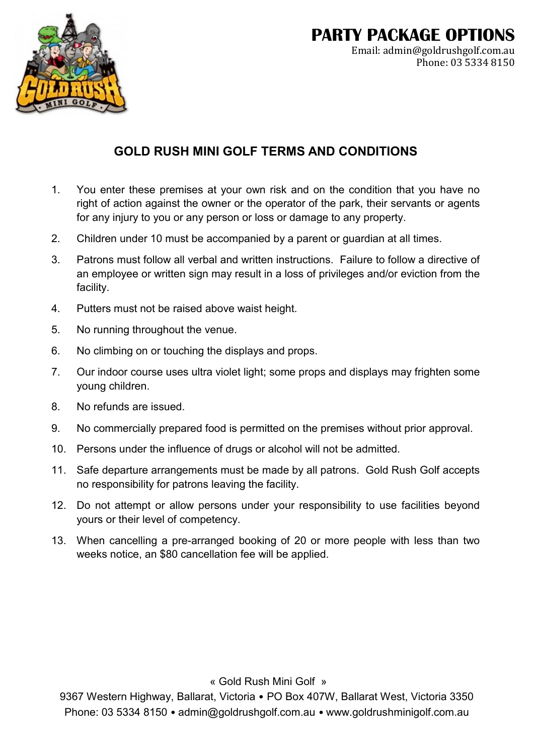

# **PARTY PACKAGE OPTIONS**

Email: admin@goldrushgolf.com.au Phone: 03 5334 8150

# **GOLD RUSH MINI GOLF TERMS AND CONDITIONS**

- 1. You enter these premises at your own risk and on the condition that you have no right of action against the owner or the operator of the park, their servants or agents for any injury to you or any person or loss or damage to any property.
- 2. Children under 10 must be accompanied by a parent or guardian at all times.
- 3. Patrons must follow all verbal and written instructions. Failure to follow a directive of an employee or written sign may result in a loss of privileges and/or eviction from the facility.
- 4. Putters must not be raised above waist height.
- 5. No running throughout the venue.
- 6. No climbing on or touching the displays and props.
- 7. Our indoor course uses ultra violet light; some props and displays may frighten some young children.
- 8. No refunds are issued.
- 9. No commercially prepared food is permitted on the premises without prior approval.
- 10. Persons under the influence of drugs or alcohol will not be admitted.
- 11. Safe departure arrangements must be made by all patrons. Gold Rush Golf accepts no responsibility for patrons leaving the facility.
- 12. Do not attempt or allow persons under your responsibility to use facilities beyond yours or their level of competency.
- 13. When cancelling a pre-arranged booking of 20 or more people with less than two weeks notice, an \$80 cancellation fee will be applied.

« Gold Rush Mini Golf »

9367 Western Highway, Ballarat, Victoria • PO Box 407W, Ballarat West, Victoria 3350 Phone: 03 5334 8150 • admin@goldrushgolf.com.au • www.goldrushminigolf.com.au